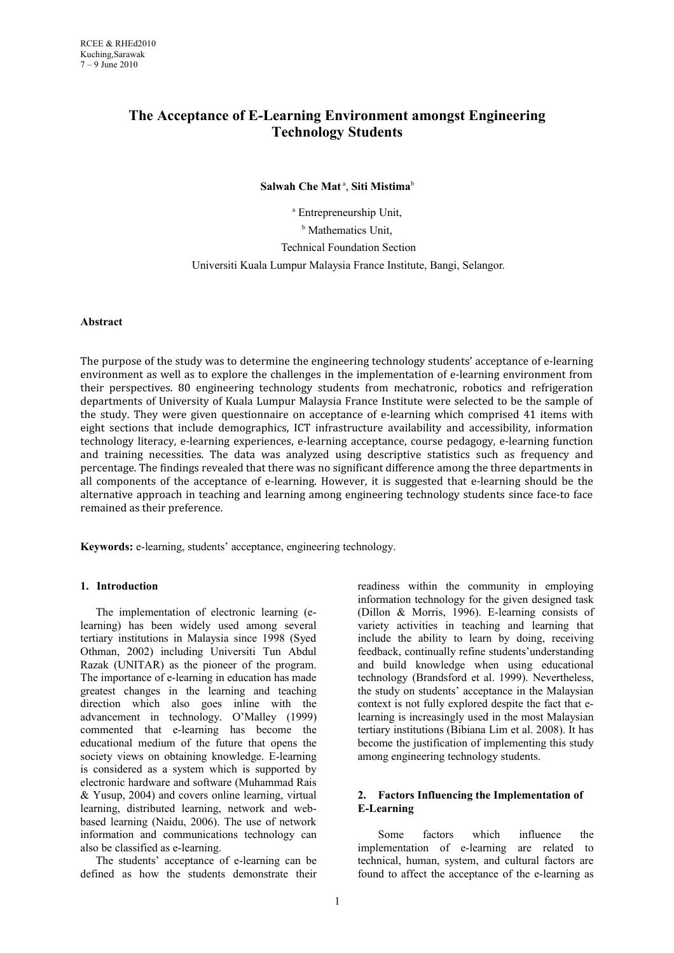# **The Acceptance of E-Learning Environment amongst Engineering Technology Students**

 $S$ alwah Che Mat<sup>a</sup>, Siti Mistima<sup>b</sup>

a Entrepreneurship Unit, **b** Mathematics Unit, Technical Foundation Section Universiti Kuala Lumpur Malaysia France Institute, Bangi, Selangor.

## **Abstract**

The purpose of the study was to determine the engineering technology students' acceptance of e-learning environment as well as to explore the challenges in the implementation of e-learning environment from their perspectives. 80 engineering technology students from mechatronic, robotics and refrigeration departments of University of Kuala Lumpur Malaysia France Institute were selected to be the sample of the study. They were given questionnaire on acceptance of e-learning which comprised 41 items with eight sections that include demographics, ICT infrastructure availability and accessibility, information technology literacy, e-learning experiences, e-learning acceptance, course pedagogy, e-learning function and training necessities. The data was analyzed using descriptive statistics such as frequency and percentage. The findings revealed that there was no significant difference among the three departments in all components of the acceptance of e-learning. However, it is suggested that e-learning should be the alternative approach in teaching and learning among engineering technology students since face-to face remained as their preference.

**Keywords:** e-learning, students' acceptance, engineering technology.

## **1. Introduction**

The implementation of electronic learning (elearning) has been widely used among several tertiary institutions in Malaysia since 1998 (Syed Othman, 2002) including Universiti Tun Abdul Razak (UNITAR) as the pioneer of the program. The importance of e-learning in education has made greatest changes in the learning and teaching direction which also goes inline with the advancement in technology. O'Malley (1999) commented that e-learning has become the educational medium of the future that opens the society views on obtaining knowledge. E-learning is considered as a system which is supported by electronic hardware and software (Muhammad Rais & Yusup, 2004) and covers online learning, virtual learning, distributed learning, network and webbased learning (Naidu, 2006). The use of network information and communications technology can also be classified as e-learning.

The students' acceptance of e-learning can be defined as how the students demonstrate their readiness within the community in employing information technology for the given designed task (Dillon & Morris, 1996). E-learning consists of variety activities in teaching and learning that include the ability to learn by doing, receiving feedback, continually refine students'understanding and build knowledge when using educational technology (Brandsford et al. 1999). Nevertheless, the study on students' acceptance in the Malaysian context is not fully explored despite the fact that elearning is increasingly used in the most Malaysian tertiary institutions (Bibiana Lim et al. 2008). It has become the justification of implementing this study among engineering technology students.

## **2. Factors Influencing the Implementation of E-Learning**

Some factors which influence the implementation of e-learning are related to technical, human, system, and cultural factors are found to affect the acceptance of the e-learning as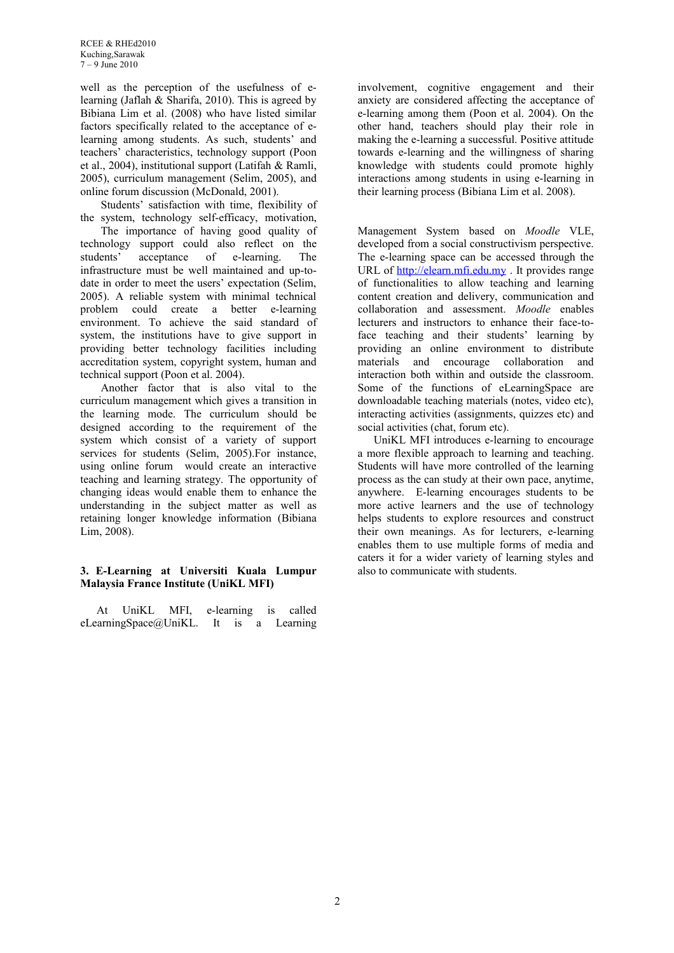RCEE & RHEd2010 Kuching,Sarawak  $7 - 9$  June 2010

well as the perception of the usefulness of elearning (Jaflah & Sharifa, 2010). This is agreed by Bibiana Lim et al. (2008) who have listed similar factors specifically related to the acceptance of elearning among students. As such, students' and teachers' characteristics, technology support (Poon et al., 2004), institutional support (Latifah & Ramli, 2005), curriculum management (Selim, 2005), and online forum discussion (McDonald, 2001).

Students' satisfaction with time, flexibility of the system, technology self-efficacy, motivation,

The importance of having good quality of technology support could also reflect on the students' acceptance of e-learning. The infrastructure must be well maintained and up-todate in order to meet the users' expectation (Selim, 2005). A reliable system with minimal technical problem could create a better e-learning environment. To achieve the said standard of system, the institutions have to give support in providing better technology facilities including accreditation system, copyright system, human and technical support (Poon et al. 2004).

Another factor that is also vital to the curriculum management which gives a transition in the learning mode. The curriculum should be designed according to the requirement of the system which consist of a variety of support services for students (Selim, 2005).For instance, using online forum would create an interactive teaching and learning strategy. The opportunity of changing ideas would enable them to enhance the understanding in the subject matter as well as retaining longer knowledge information (Bibiana Lim, 2008).

#### **3. E-Learning at Universiti Kuala Lumpur Malaysia France Institute (UniKL MFI)**

At UniKL MFI, e-learning is called eLearningSpace@UniKL. It is a Learning involvement, cognitive engagement and their anxiety are considered affecting the acceptance of e-learning among them (Poon et al. 2004). On the other hand, teachers should play their role in making the e-learning a successful. Positive attitude towards e-learning and the willingness of sharing knowledge with students could promote highly interactions among students in using e-learning in their learning process (Bibiana Lim et al. 2008).

Management System based on *Moodle* VLE, developed from a social constructivism perspective. The e-learning space can be accessed through the URL of [http://elearn.mfi.edu.my](http://elearn.mfi.edu.my/) . It provides range of functionalities to allow teaching and learning content creation and delivery, communication and collaboration and assessment. *Moodle* enables lecturers and instructors to enhance their face-toface teaching and their students' learning by providing an online environment to distribute materials and encourage collaboration and interaction both within and outside the classroom. Some of the functions of eLearningSpace are downloadable teaching materials (notes, video etc), interacting activities (assignments, quizzes etc) and social activities (chat, forum etc).

UniKL MFI introduces e-learning to encourage a more flexible approach to learning and teaching. Students will have more controlled of the learning process as the can study at their own pace, anytime, anywhere. E-learning encourages students to be more active learners and the use of technology helps students to explore resources and construct their own meanings. As for lecturers, e-learning enables them to use multiple forms of media and caters it for a wider variety of learning styles and also to communicate with students.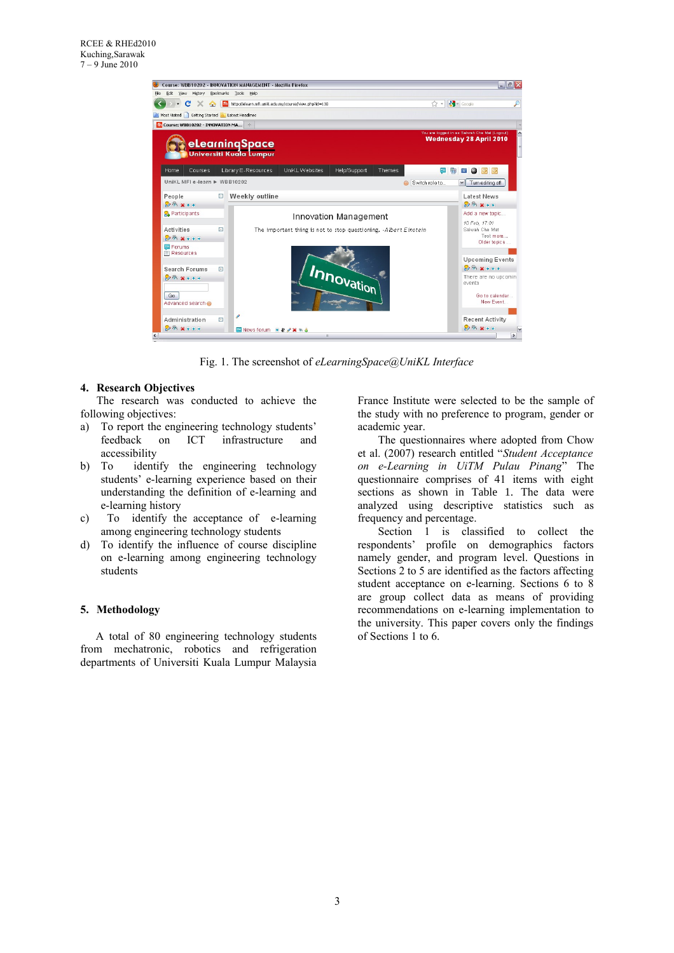

Fig. 1. The screenshot of *eLearningSpace@UniKL Interface*

#### **4. Research Objectives**

The research was conducted to achieve the following objectives:

- a) To report the engineering technology students'<br>feedback on ICT infrastructure and on ICT infrastructure and accessibility
- b) To identify the engineering technology students' e-learning experience based on their understanding the definition of e-learning and e-learning history
- c) To identify the acceptance of e-learning among engineering technology students
- d) To identify the influence of course discipline on e-learning among engineering technology students

#### **5. Methodology**

A total of 80 engineering technology students from mechatronic, robotics and refrigeration departments of Universiti Kuala Lumpur Malaysia

France Institute were selected to be the sample of the study with no preference to program, gender or academic year.

The questionnaires where adopted from Chow et al. (2007) research entitled "*Student Acceptance on e-Learning in UiTM Pulau Pinang*" The questionnaire comprises of 41 items with eight sections as shown in Table 1. The data were analyzed using descriptive statistics such as frequency and percentage.

Section 1 is classified to collect the respondents' profile on demographics factors namely gender, and program level. Questions in Sections 2 to 5 are identified as the factors affecting student acceptance on e-learning. Sections 6 to 8 are group collect data as means of providing recommendations on e-learning implementation to the university. This paper covers only the findings of Sections 1 to 6.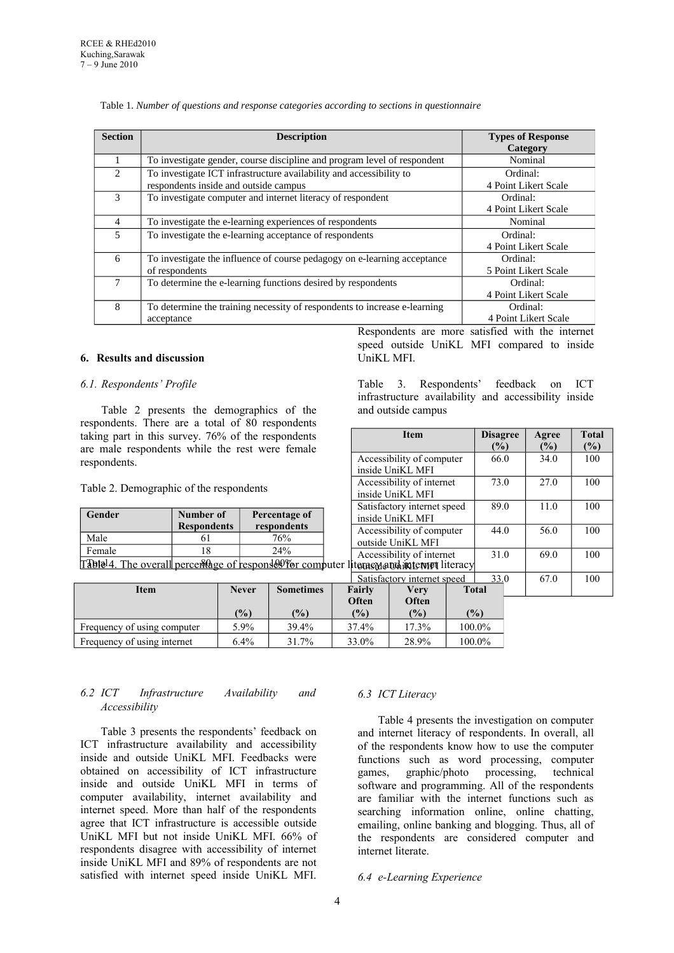| <b>Section</b>              | <b>Description</b>                                                        | <b>Types of Response</b><br>Category             |
|-----------------------------|---------------------------------------------------------------------------|--------------------------------------------------|
|                             | To investigate gender, course discipline and program level of respondent  | Nominal                                          |
| $\mathcal{D}_{\mathcal{L}}$ | To investigate ICT infrastructure availability and accessibility to       | Ordinal:                                         |
|                             | respondents inside and outside campus                                     | 4 Point Likert Scale                             |
| 3                           | To investigate computer and internet literacy of respondent               | Ordinal:                                         |
|                             |                                                                           | 4 Point Likert Scale                             |
| $\overline{4}$              | To investigate the e-learning experiences of respondents                  | Nominal                                          |
| 5                           | To investigate the e-learning acceptance of respondents                   | Ordinal:                                         |
|                             |                                                                           | 4 Point Likert Scale                             |
| 6                           | To investigate the influence of course pedagogy on e-learning acceptance  | Ordinal:                                         |
|                             | of respondents                                                            | 5 Point Likert Scale                             |
| 7                           | To determine the e-learning functions desired by respondents              | Ordinal:                                         |
|                             |                                                                           | 4 Point Likert Scale                             |
| 8                           | To determine the training necessity of respondents to increase e-learning | Ordinal:                                         |
|                             | acceptance                                                                | 4 Point Likert Scale                             |
|                             |                                                                           | Respondents are more satisfied with the internet |

UniKL MFI.

Table 1. *Number of questions and response categories according to sections in questionnaire*

#### **6. Results and discussion**

#### *6.1. Respondents' Profile*

Table 2 presents the demographics of the respondents. There are a total of 80 respondents taking part in this survey. 76% of the respondents are male respondents while the rest were female respondents.

Table 2. Demographic of the respondents

| Gender                                                        | Number of<br><b>Respondents</b> | Percentage of<br>respondents |  |  |
|---------------------------------------------------------------|---------------------------------|------------------------------|--|--|
| Male                                                          |                                 | 76%                          |  |  |
| Female                                                        |                                 | 24%                          |  |  |
| $\text{Tr}\left[\text{L}\right]$ and $\text{L}\left[1\right]$ |                                 |                              |  |  |

Table 4. The overall percentage of responses for computer literas mentioned internet literacy

|                             |              | Satisfactory internet speed |        |       |              |
|-----------------------------|--------------|-----------------------------|--------|-------|--------------|
| Item                        | <b>Never</b> | <b>Sometimes</b>            | Fairly | Verv  | <b>Total</b> |
|                             |              |                             | Often  | Often |              |
|                             | (%)          | (%)                         | (%)    | (%)   | $($ %)       |
| Frequency of using computer | 5.9%         | 39.4%                       | 37.4%  | 17.3% | 100.0%       |
| Frequency of using internet | $6.4\%$      | 31.7%                       | 33.0%  | 28.9% | 100.0%       |

## *6.2 ICT Infrastructure Availability and Accessibility*

Table 3 presents the respondents' feedback on ICT infrastructure availability and accessibility inside and outside UniKL MFI. Feedbacks were obtained on accessibility of ICT infrastructure inside and outside UniKL MFI in terms of computer availability, internet availability and internet speed. More than half of the respondents agree that ICT infrastructure is accessible outside UniKL MFI but not inside UniKL MFI. 66% of respondents disagree with accessibility of internet inside UniKL MFI and 89% of respondents are not satisfied with internet speed inside UniKL MFI.

## *6.3 ICT Literacy*

Table 4 presents the investigation on computer and internet literacy of respondents. In overall, all of the respondents know how to use the computer functions such as word processing, computer games, graphic/photo processing, technical software and programming. All of the respondents are familiar with the internet functions such as searching information online, online chatting, emailing, online banking and blogging. Thus, all of the respondents are considered computer and internet literate.

*6.4 e-Learning Experience*

Table 3. Respondents' feedback on ICT infrastructure availability and accessibility inside and outside campus

speed outside UniKL MFI compared to inside

| <b>Item</b>                   |                           |      | <b>Disagree</b><br>$(\%)$ |      | Agree<br>(%) | <b>Total</b><br>$(\%)$ |
|-------------------------------|---------------------------|------|---------------------------|------|--------------|------------------------|
|                               | Accessibility of computer |      |                           | 66.0 | 34.0         | 100                    |
|                               | inside UniKL MFI          |      |                           |      |              |                        |
|                               | Accessibility of internet |      | 73.0                      |      | 27.0         | 100                    |
|                               | inside UniKL MFI          |      |                           |      |              |                        |
| Satisfactory internet speed   |                           |      | 89.0                      |      | 11.0         | 100                    |
|                               | inside UniKL MFI          |      |                           |      |              |                        |
|                               | Accessibility of computer |      | 44.0                      |      | 56.0         | 100                    |
|                               | outside UniKL MFI         |      |                           |      |              |                        |
|                               | Accessibility of internet |      | 31.0                      |      | 69.0         | 100                    |
| literasmand internet literacy |                           |      |                           |      |              |                        |
| Satisfactory internet speed   |                           | 33.0 |                           | 67.0 | 100          |                        |
| Fairly                        | Very                      |      | <b>Total</b>              |      |              |                        |
| Often                         | Often                     |      |                           |      |              |                        |
| (%)                           | (%)                       |      | (%)                       |      |              |                        |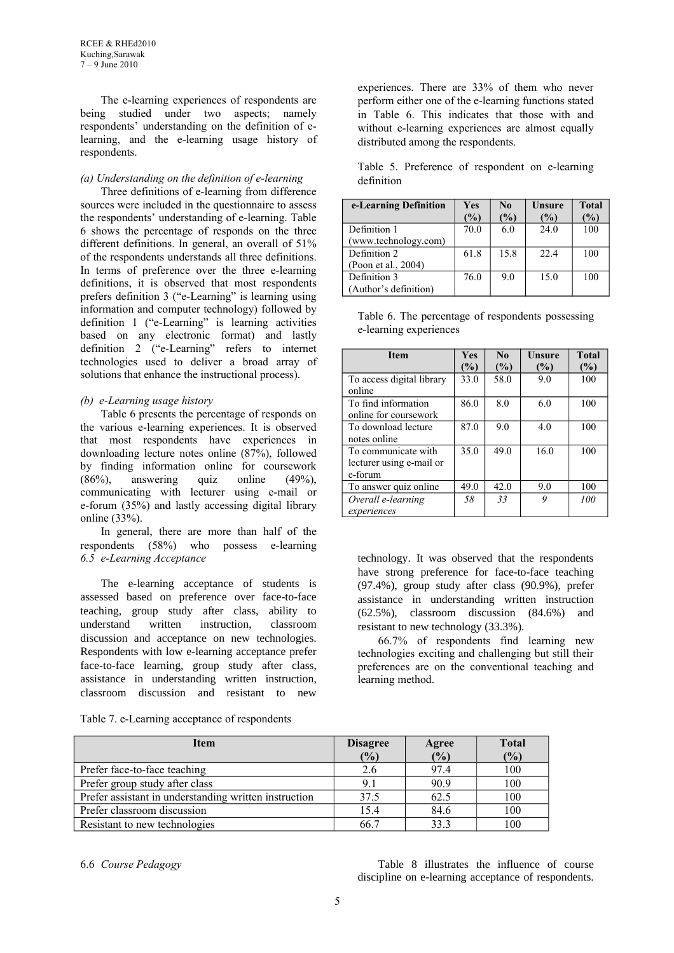RCEE & RHEd2010 Kuching,Sarawak 7 – 9 June 2010

The e-learning experiences of respondents are being studied under two aspects; namely respondents' understanding on the definition of elearning, and the e-learning usage history of respondents.

## *(a) Understanding on the definition of e-learning*

Three definitions of e-learning from difference sources were included in the questionnaire to assess the respondents' understanding of e-learning. Table 6 shows the percentage of responds on the three different definitions. In general, an overall of 51% of the respondents understands all three definitions. In terms of preference over the three e-learning definitions, it is observed that most respondents prefers definition 3 ("e-Learning" is learning using information and computer technology) followed by definition 1 ("e-Learning" is learning activities based on any electronic format) and lastly definition 2 ("e-Learning" refers to internet technologies used to deliver a broad array of solutions that enhance the instructional process).

## *(b) e-Learning usage history*

Table 6 presents the percentage of responds on the various e-learning experiences. It is observed that most respondents have experiences in downloading lecture notes online (87%), followed by finding information online for coursework (86%), answering quiz online (49%), communicating with lecturer using e-mail or e-forum (35%) and lastly accessing digital library online  $(33%)$ 

In general, there are more than half of the respondents (58%) who possess e-learning *6.5 e-Learning Acceptance*

The e-learning acceptance of students is assessed based on preference over face-to-face teaching, group study after class, ability to understand written instruction, classroom discussion and acceptance on new technologies. Respondents with low e-learning acceptance prefer face-to-face learning, group study after class, assistance in understanding written instruction, classroom discussion and resistant to new

Table 7. e-Learning acceptance of respondents

experiences. There are 33% of them who never perform either one of the e-learning functions stated in Table 6. This indicates that those with and without e-learning experiences are almost equally distributed among the respondents.

|            |  | Table 5. Preference of respondent on e-learning |  |
|------------|--|-------------------------------------------------|--|
| definition |  |                                                 |  |

| e-Learning Definition | Yes<br>$\mathcal{O}_0$ | N <sub>0</sub><br>$\mathcal{O}_0$ | Unsure<br>$\mathcal{O}_0$ | <b>Total</b><br>$\%$ |
|-----------------------|------------------------|-----------------------------------|---------------------------|----------------------|
| Definition 1          | 70.0                   | 6.0                               | 24.0                      | 100                  |
| (www.technology.com)  |                        |                                   |                           |                      |
| Definition 2          | 61.8                   | 15.8                              | 22.4                      | 100                  |
| (Poon et al., 2004)   |                        |                                   |                           |                      |
| Definition 3          | 76.0                   | 90                                | 15.0                      | 100                  |
| (Author's definition) |                        |                                   |                           |                      |

Table 6. The percentage of respondents possessing e-learning experiences

| <b>Item</b>               | Yes           | $\bf N_0$ | Unsure | <b>Total</b> |
|---------------------------|---------------|-----------|--------|--------------|
|                           | $\frac{1}{2}$ | (%)       | (%)    | $(\%)$       |
| To access digital library | 33.0          | 58.0      | 90     | 100          |
| online                    |               |           |        |              |
| To find information       | 86.0          | 8.0       | 6.0    | 100          |
| online for coursework     |               |           |        |              |
| To download lecture       | 87.0          | 9.0       | 4.0    | 100          |
| notes online              |               |           |        |              |
| To communicate with       | 35.0          | 49.0      | 16.0   | 100          |
| lecturer using e-mail or  |               |           |        |              |
| e-forum                   |               |           |        |              |
| To answer quiz online     | 49.0          | 42.0      | 9.0    | 100          |
| Overall e-learning        | 58            | 33        | 9      | 100          |
| experiences               |               |           |        |              |

technology. It was observed that the respondents have strong preference for face-to-face teaching (97.4%), group study after class (90.9%), prefer assistance in understanding written instruction (62.5%), classroom discussion (84.6%) and resistant to new technology (33.3%).

66.7% of respondents find learning new technologies exciting and challenging but still their preferences are on the conventional teaching and learning method.

| <b>Item</b>                                           | <b>Disagree</b> | Agree | <b>Total</b> |
|-------------------------------------------------------|-----------------|-------|--------------|
|                                                       | (%)             | (%)   | (%)          |
| Prefer face-to-face teaching                          | 2.6             | 97.4  | 100          |
| Prefer group study after class                        | 9.1             | 90.9  | 100          |
| Prefer assistant in understanding written instruction | 37.5            | 62.5  | 100          |
| Prefer classroom discussion                           | 15.4            | 84.6  | 100          |
| Resistant to new technologies                         | 66.7            | 33.3  | 100          |

6.6 *Course Pedagogy* Table 8 illustrates the influence of course discipline on e-learning acceptance of respondents.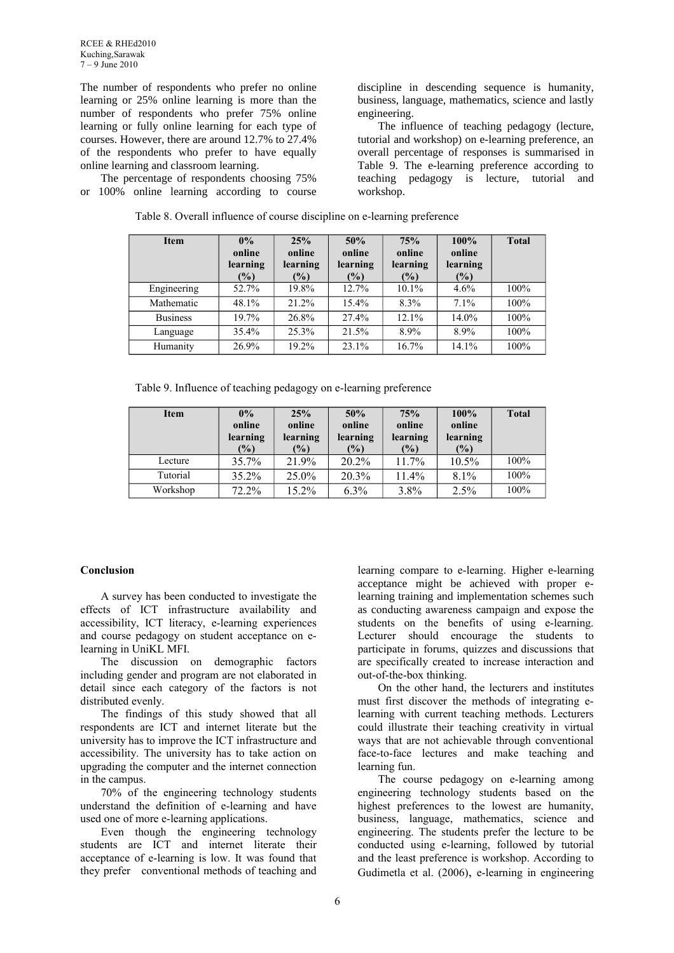The number of respondents who prefer no online learning or 25% online learning is more than the number of respondents who prefer 75% online learning or fully online learning for each type of courses. However, there are around 12.7% to 27.4% of the respondents who prefer to have equally online learning and classroom learning.

The percentage of respondents choosing 75% or 100% online learning according to course discipline in descending sequence is humanity, business, language, mathematics, science and lastly engineering.

The influence of teaching pedagogy (lecture, tutorial and workshop) on e-learning preference, an overall percentage of responses is summarised in Table 9. The e-learning preference according to teaching pedagogy is lecture, tutorial and workshop.

| <b>Item</b>     | 0%<br>online<br>learning<br>$(\%)$ | 25%<br>online<br>learning<br>$(\%)$ | 50%<br>online<br>learning<br>$(\%)$ | 75%<br>online<br>learning<br>$(\%)$ | 100%<br>online<br>learning<br>(%) | <b>Total</b> |
|-----------------|------------------------------------|-------------------------------------|-------------------------------------|-------------------------------------|-----------------------------------|--------------|
| Engineering     | 52.7%                              | 19.8%                               | 12.7%                               | 10.1%                               | $4.6\%$                           | 100%         |
| Mathematic      | 48.1%                              | 21.2%                               | $15.4\%$                            | 8.3%                                | 7.1%                              | 100%         |
| <b>Business</b> | 19.7%                              | 26.8%                               | 27.4%                               | 12.1%                               | 14.0%                             | 100%         |
| Language        | 35.4%                              | 25.3%                               | 21.5%                               | 8.9%                                | 8.9%                              | 100%         |
| Humanity        | 26.9%                              | 19.2%                               | $23.1\%$                            | 16.7%                               | 14.1%                             | 100%         |

Table 8. Overall influence of course discipline on e-learning preference

Table 9. Influence of teaching pedagogy on e-learning preference

| <b>Item</b> | 0%<br>online<br>learning<br>(%) | 25%<br>online<br>learning<br>$\frac{1}{2}$ | 50%<br>online<br>learning<br>$\frac{1}{2}$ | 75%<br>online<br>learning<br>(%) | 100%<br>online<br>learning<br>$\frac{6}{6}$ | <b>Total</b> |
|-------------|---------------------------------|--------------------------------------------|--------------------------------------------|----------------------------------|---------------------------------------------|--------------|
| Lecture     | 35.7%                           | 21.9%                                      | $20.2\%$                                   | 11.7%                            | $10.5\%$                                    | 100%         |
| Tutorial    | $35.2\%$                        | 25.0%                                      | 20.3%                                      | 11.4%                            | $8.1\%$                                     | 100%         |
| Workshop    | $72.2\%$                        | $15.2\%$                                   | $6.3\%$                                    | 3.8%                             | 2.5%                                        | 100%         |

#### **Conclusion**

A survey has been conducted to investigate the effects of ICT infrastructure availability and accessibility, ICT literacy, e-learning experiences and course pedagogy on student acceptance on elearning in UniKL MFI.

The discussion on demographic factors including gender and program are not elaborated in detail since each category of the factors is not distributed evenly.

The findings of this study showed that all respondents are ICT and internet literate but the university has to improve the ICT infrastructure and accessibility. The university has to take action on upgrading the computer and the internet connection in the campus.

70% of the engineering technology students understand the definition of e-learning and have used one of more e-learning applications.

Even though the engineering technology students are ICT and internet literate their acceptance of e-learning is low. It was found that they prefer conventional methods of teaching and learning compare to e-learning. Higher e-learning acceptance might be achieved with proper elearning training and implementation schemes such as conducting awareness campaign and expose the students on the benefits of using e-learning. Lecturer should encourage the students to participate in forums, quizzes and discussions that are specifically created to increase interaction and out-of-the-box thinking.

On the other hand, the lecturers and institutes must first discover the methods of integrating elearning with current teaching methods. Lecturers could illustrate their teaching creativity in virtual ways that are not achievable through conventional face-to-face lectures and make teaching and learning fun.

The course pedagogy on e-learning among engineering technology students based on the highest preferences to the lowest are humanity, business, language, mathematics, science and engineering. The students prefer the lecture to be conducted using e-learning, followed by tutorial and the least preference is workshop. According to Gudimetla et al. (2006), e-learning in engineering